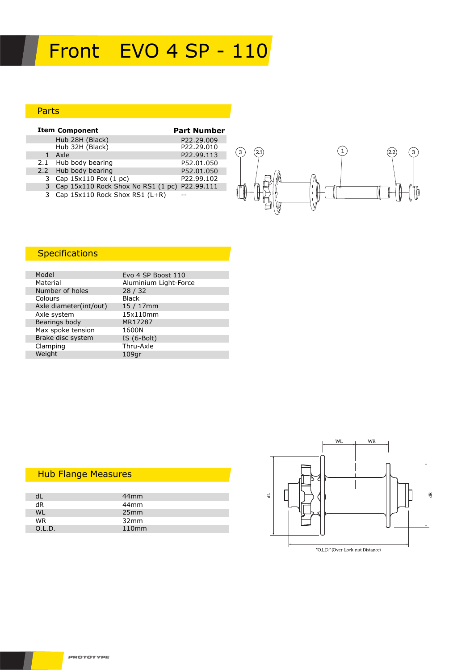# Front EVO 4 SP - 110

### Parts

| <b>Item Component</b>                         | <b>Part Number</b> |
|-----------------------------------------------|--------------------|
| Hub 28H (Black)                               | P22.29.009         |
| Hub 32H (Black)                               | P22.29.010         |
| Axle                                          | P22.99.113         |
| 2.1 Hub body bearing                          | P52.01.050         |
| 2.2 Hub body bearing                          | P52.01.050         |
| 3 Cap 15x110 Fox (1 pc)                       | P22.99.102         |
| Cap 15x110 Rock Shox No RS1 (1 pc) P22.99.111 |                    |
| 3 Cap 15x110 Rock Shox RS1 (L+R)              |                    |



## **Specifications**

| Model                  | Evo 4 SP Boost 110    |
|------------------------|-----------------------|
| Material               | Aluminium Light-Force |
| Number of holes        | 28/32                 |
| Colours                | <b>Black</b>          |
| Axle diameter(int/out) | $15/17$ mm            |
| Axle system            | 15x110mm              |
| Bearings body          | MR17287               |
| Max spoke tension      | 1600N                 |
| Brake disc system      | IS $(6-Bolt)$         |
| Clamping               | Thru-Axle             |
| Weight                 | $109$ qr              |

### Hub Flange Measures

|           | 44 <sub>mm</sub>  |  |
|-----------|-------------------|--|
| dR        | 44 <sub>mm</sub>  |  |
| <b>WL</b> | 25mm              |  |
| <b>WR</b> | 32mm              |  |
| O.L.D.    | 110 <sub>mm</sub> |  |